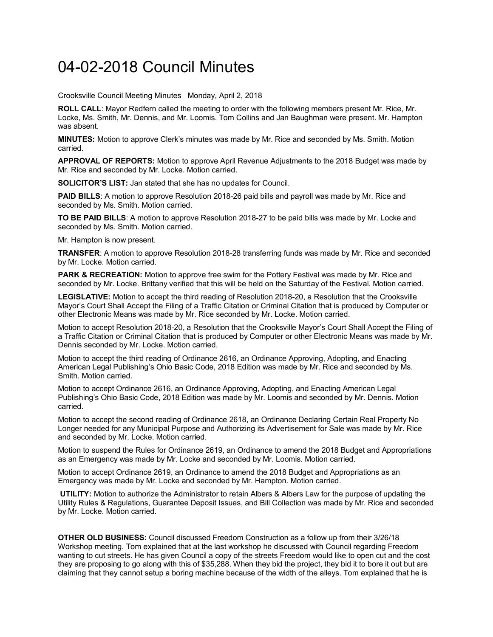## 04-02-2018 Council Minutes

Crooksville Council Meeting Minutes Monday, April 2, 2018

**ROLL CALL**: Mayor Redfern called the meeting to order with the following members present Mr. Rice, Mr. Locke, Ms. Smith, Mr. Dennis, and Mr. Loomis. Tom Collins and Jan Baughman were present. Mr. Hampton was absent.

**MINUTES:** Motion to approve Clerk's minutes was made by Mr. Rice and seconded by Ms. Smith. Motion carried.

**APPROVAL OF REPORTS:** Motion to approve April Revenue Adjustments to the 2018 Budget was made by Mr. Rice and seconded by Mr. Locke. Motion carried.

**SOLICITOR'S LIST:** Jan stated that she has no updates for Council.

**PAID BILLS**: A motion to approve Resolution 2018-26 paid bills and payroll was made by Mr. Rice and seconded by Ms. Smith. Motion carried.

**TO BE PAID BILLS**: A motion to approve Resolution 2018-27 to be paid bills was made by Mr. Locke and seconded by Ms. Smith. Motion carried.

Mr. Hampton is now present.

**TRANSFER**: A motion to approve Resolution 2018-28 transferring funds was made by Mr. Rice and seconded by Mr. Locke. Motion carried.

**PARK & RECREATION:** Motion to approve free swim for the Pottery Festival was made by Mr. Rice and seconded by Mr. Locke. Brittany verified that this will be held on the Saturday of the Festival. Motion carried.

**LEGISLATIVE:** Motion to accept the third reading of Resolution 2018-20, a Resolution that the Crooksville Mayor's Court Shall Accept the Filing of a Traffic Citation or Criminal Citation that is produced by Computer or other Electronic Means was made by Mr. Rice seconded by Mr. Locke. Motion carried.

Motion to accept Resolution 2018-20, a Resolution that the Crooksville Mayor's Court Shall Accept the Filing of a Traffic Citation or Criminal Citation that is produced by Computer or other Electronic Means was made by Mr. Dennis seconded by Mr. Locke. Motion carried.

Motion to accept the third reading of Ordinance 2616, an Ordinance Approving, Adopting, and Enacting American Legal Publishing's Ohio Basic Code, 2018 Edition was made by Mr. Rice and seconded by Ms. Smith. Motion carried.

Motion to accept Ordinance 2616, an Ordinance Approving, Adopting, and Enacting American Legal Publishing's Ohio Basic Code, 2018 Edition was made by Mr. Loomis and seconded by Mr. Dennis. Motion carried.

Motion to accept the second reading of Ordinance 2618, an Ordinance Declaring Certain Real Property No Longer needed for any Municipal Purpose and Authorizing its Advertisement for Sale was made by Mr. Rice and seconded by Mr. Locke. Motion carried.

Motion to suspend the Rules for Ordinance 2619, an Ordinance to amend the 2018 Budget and Appropriations as an Emergency was made by Mr. Locke and seconded by Mr. Loomis. Motion carried.

Motion to accept Ordinance 2619, an Ordinance to amend the 2018 Budget and Appropriations as an Emergency was made by Mr. Locke and seconded by Mr. Hampton. Motion carried.

**UTILITY:** Motion to authorize the Administrator to retain Albers & Albers Law for the purpose of updating the Utility Rules & Regulations, Guarantee Deposit Issues, and Bill Collection was made by Mr. Rice and seconded by Mr. Locke. Motion carried.

**OTHER OLD BUSINESS:** Council discussed Freedom Construction as a follow up from their 3/26/18 Workshop meeting. Tom explained that at the last workshop he discussed with Council regarding Freedom wanting to cut streets. He has given Council a copy of the streets Freedom would like to open cut and the cost they are proposing to go along with this of \$35,288. When they bid the project, they bid it to bore it out but are claiming that they cannot setup a boring machine because of the width of the alleys. Tom explained that he is